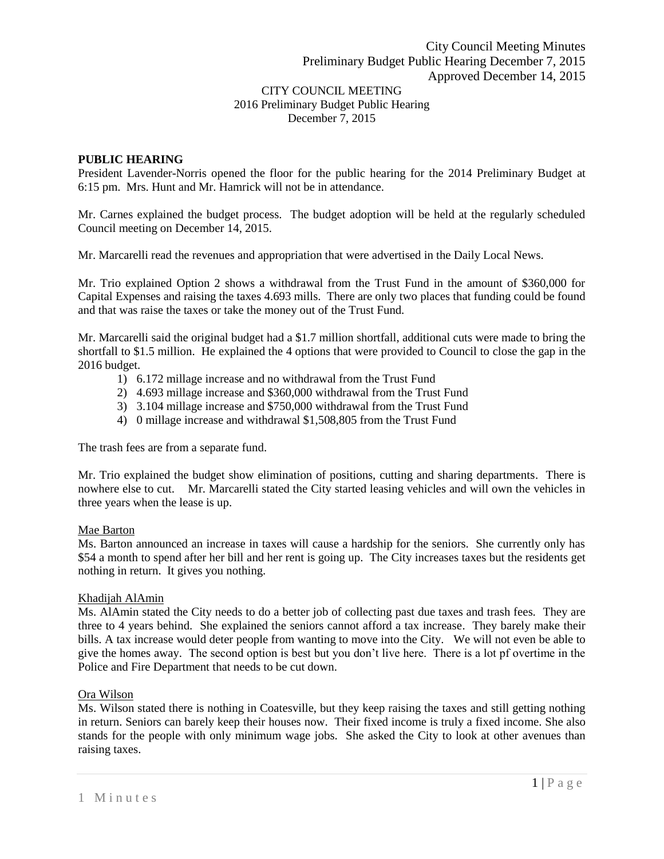2016 Preliminary Budget Public Hearing December 7, 2015

## **PUBLIC HEARING**

President Lavender-Norris opened the floor for the public hearing for the 2014 Preliminary Budget at 6:15 pm. Mrs. Hunt and Mr. Hamrick will not be in attendance.

Mr. Carnes explained the budget process. The budget adoption will be held at the regularly scheduled Council meeting on December 14, 2015.

Mr. Marcarelli read the revenues and appropriation that were advertised in the Daily Local News.

Mr. Trio explained Option 2 shows a withdrawal from the Trust Fund in the amount of \$360,000 for Capital Expenses and raising the taxes 4.693 mills. There are only two places that funding could be found and that was raise the taxes or take the money out of the Trust Fund.

Mr. Marcarelli said the original budget had a \$1.7 million shortfall, additional cuts were made to bring the shortfall to \$1.5 million. He explained the 4 options that were provided to Council to close the gap in the 2016 budget.

- 1) 6.172 millage increase and no withdrawal from the Trust Fund
- 2) 4.693 millage increase and \$360,000 withdrawal from the Trust Fund
- 3) 3.104 millage increase and \$750,000 withdrawal from the Trust Fund
- 4) 0 millage increase and withdrawal \$1,508,805 from the Trust Fund

The trash fees are from a separate fund.

Mr. Trio explained the budget show elimination of positions, cutting and sharing departments. There is nowhere else to cut. Mr. Marcarelli stated the City started leasing vehicles and will own the vehicles in three years when the lease is up.

## Mae Barton

Ms. Barton announced an increase in taxes will cause a hardship for the seniors. She currently only has \$54 a month to spend after her bill and her rent is going up. The City increases taxes but the residents get nothing in return. It gives you nothing.

#### Khadijah AlAmin

Ms. AlAmin stated the City needs to do a better job of collecting past due taxes and trash fees. They are three to 4 years behind. She explained the seniors cannot afford a tax increase. They barely make their bills. A tax increase would deter people from wanting to move into the City. We will not even be able to give the homes away. The second option is best but you don't live here. There is a lot pf overtime in the Police and Fire Department that needs to be cut down.

# Ora Wilson

Ms. Wilson stated there is nothing in Coatesville, but they keep raising the taxes and still getting nothing in return. Seniors can barely keep their houses now. Their fixed income is truly a fixed income. She also stands for the people with only minimum wage jobs. She asked the City to look at other avenues than raising taxes.